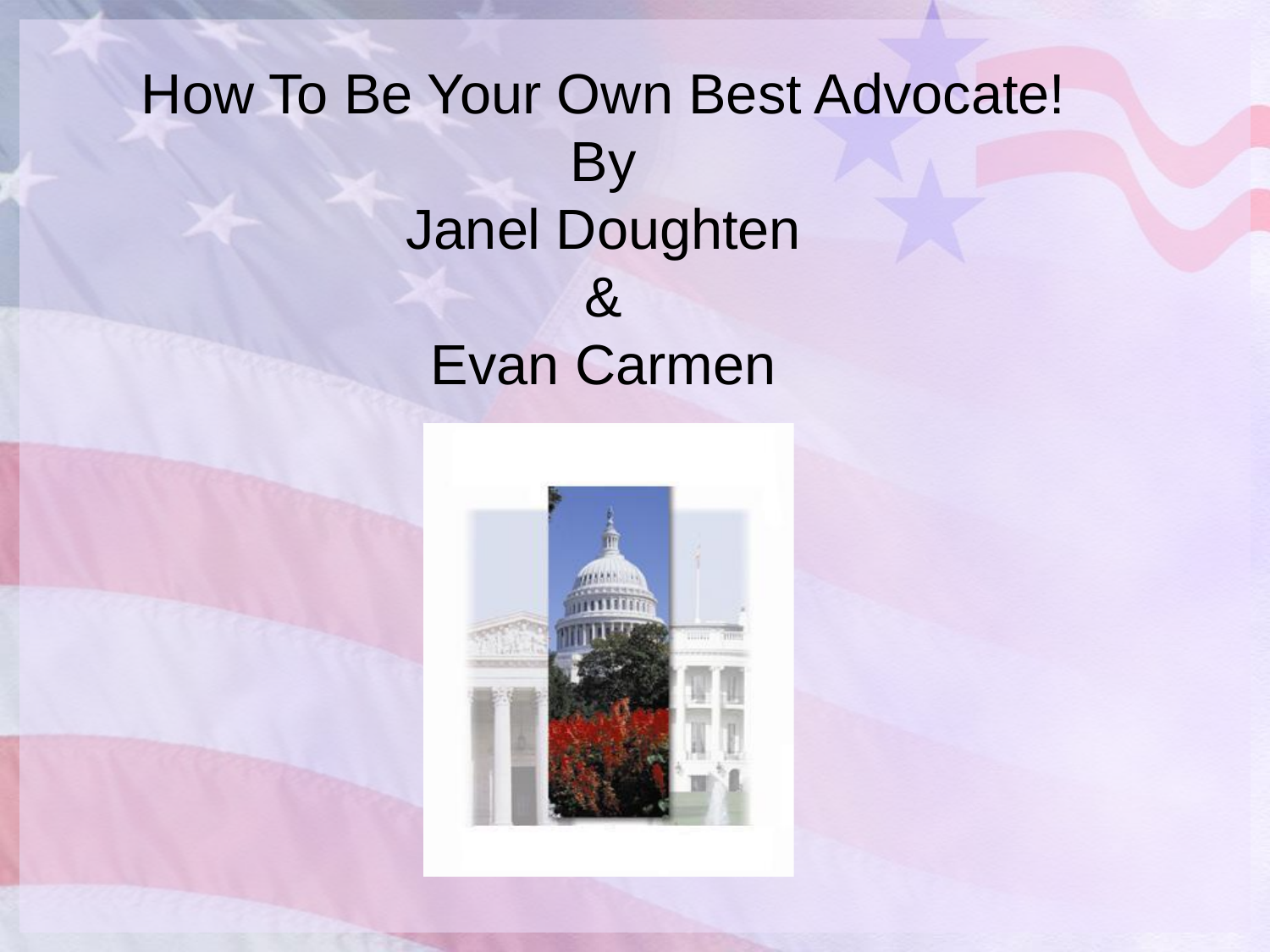#### How To Be Your Own Best Advocate! **By** Janel Doughten & Evan Carmen

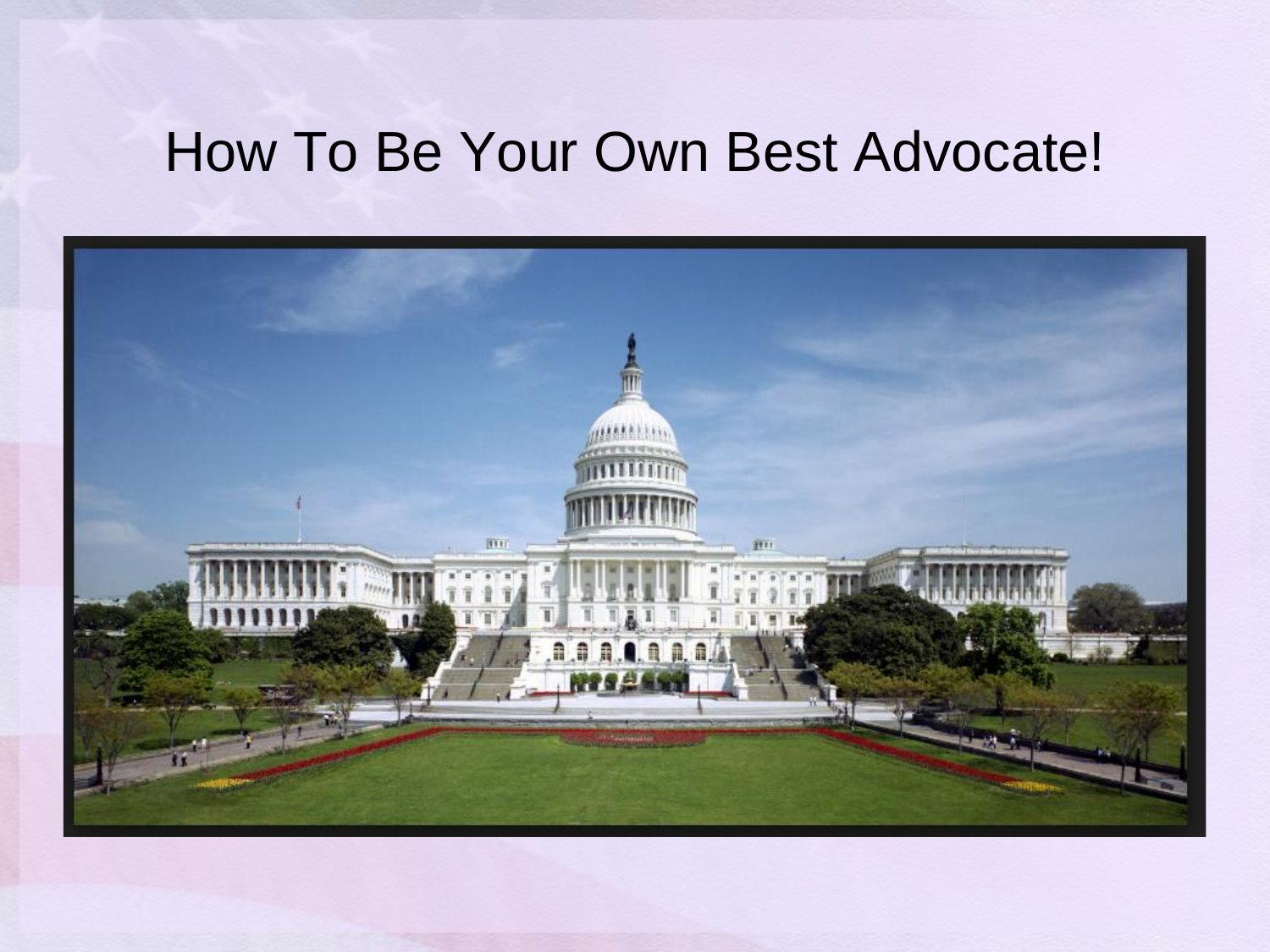#### How To Be Your Own Best Advocate!

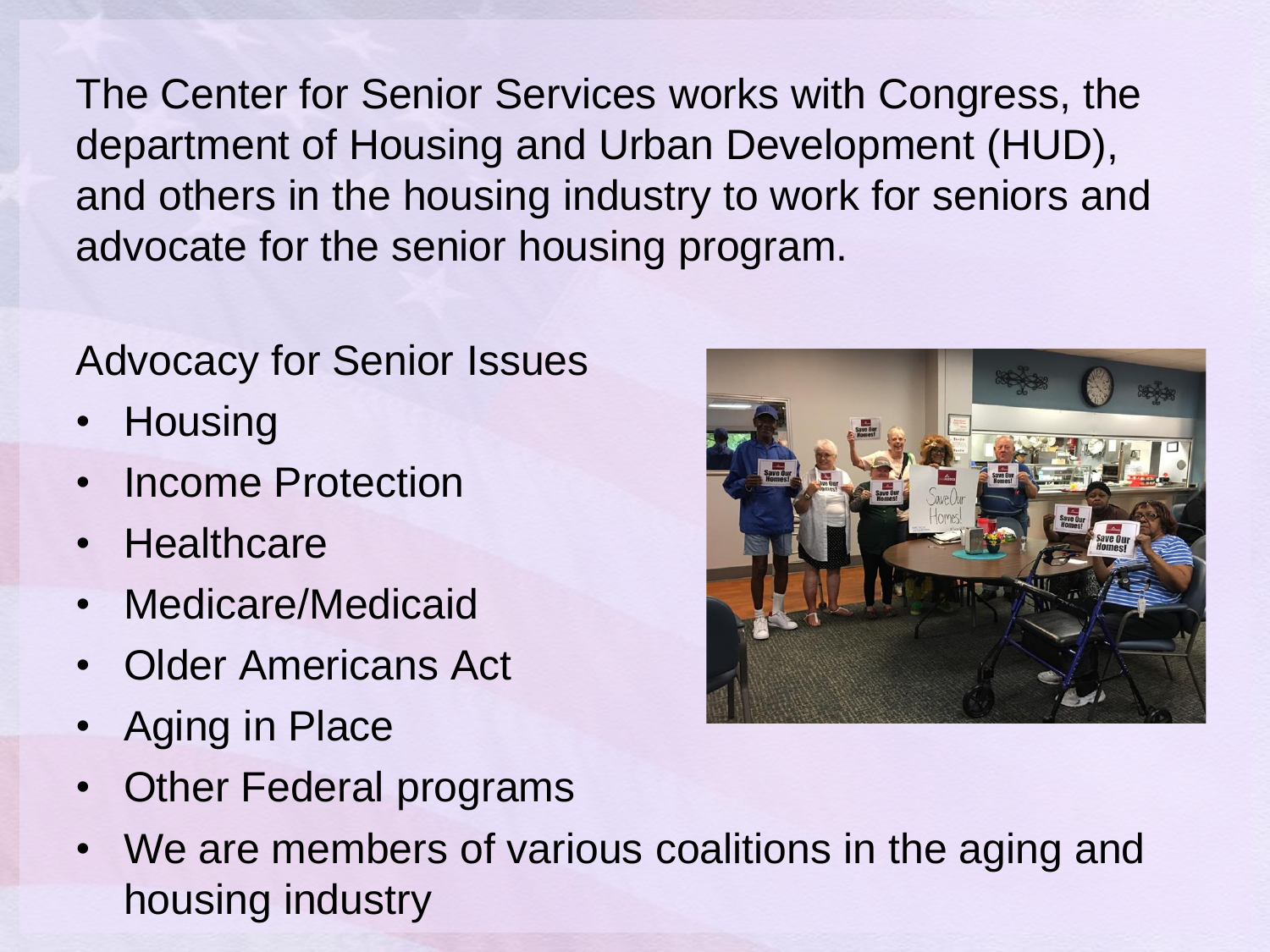The Center for Senior Services works with Congress, the department of Housing and Urban Development (HUD), and others in the housing industry to work for seniors and advocate for the senior housing program.

#### Advocacy for Senior Issues

- Housing
- Income Protection
- Healthcare
- Medicare/Medicaid
- Older Americans Act
- Aging in Place
- Other Federal programs
- We are members of various coalitions in the aging and housing industry

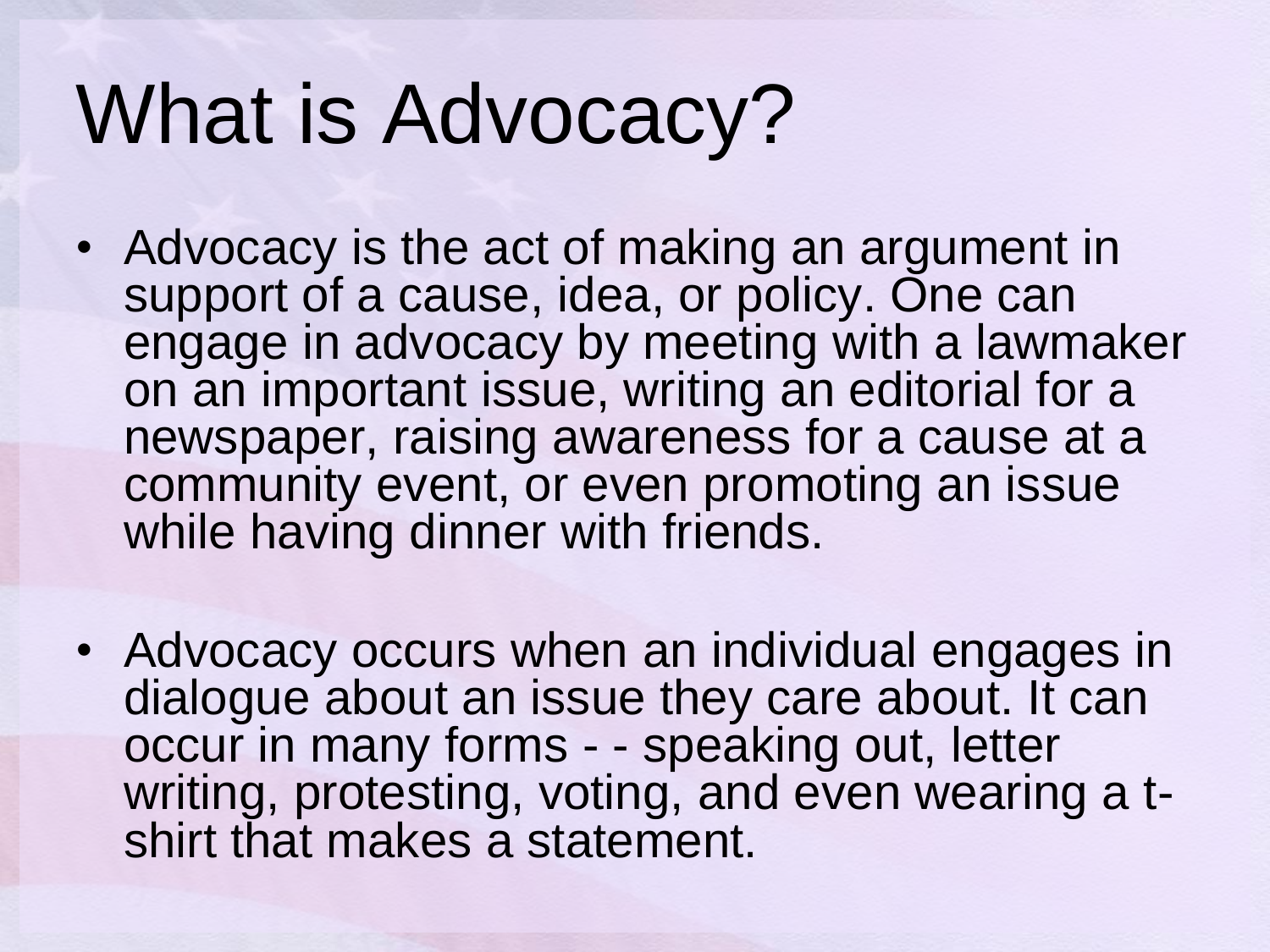## What is Advocacy?

- Advocacy is the act of making an argument in support of a cause, idea, or policy. One can engage in advocacy by meeting with a lawmaker on an important issue, writing an editorial for a newspaper, raising awareness for a cause at a community event, or even promoting an issue while having dinner with friends.
- Advocacy occurs when an individual engages in dialogue about an issue they care about. It can occur in many forms - - speaking out, letter writing, protesting, voting, and even wearing a tshirt that makes a statement.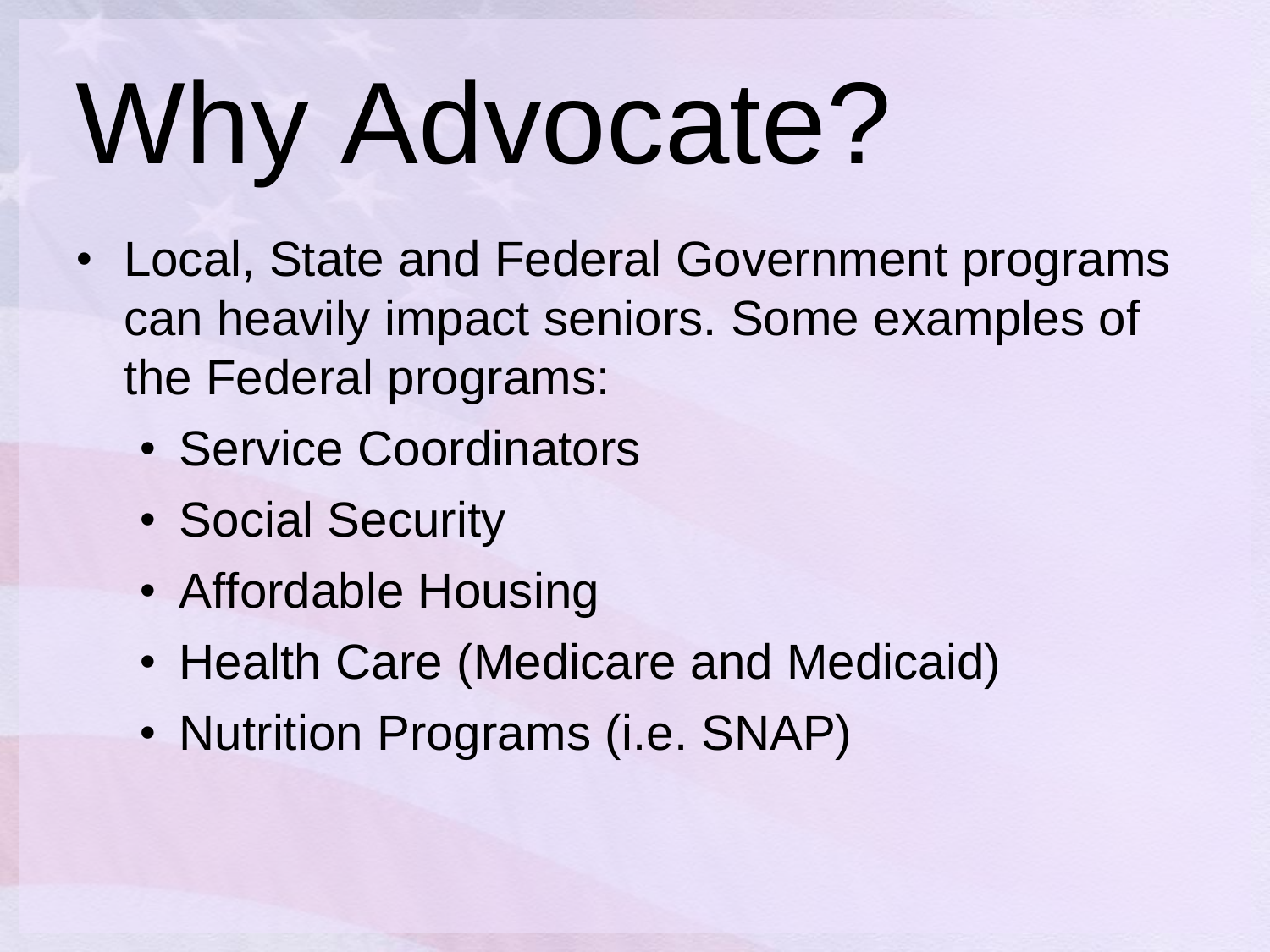# Why Advocate?

- Local, State and Federal Government programs can heavily impact seniors. Some examples of the Federal programs:
	- Service Coordinators
	- Social Security
	- Affordable Housing
	- Health Care (Medicare and Medicaid)
	- Nutrition Programs (i.e. SNAP)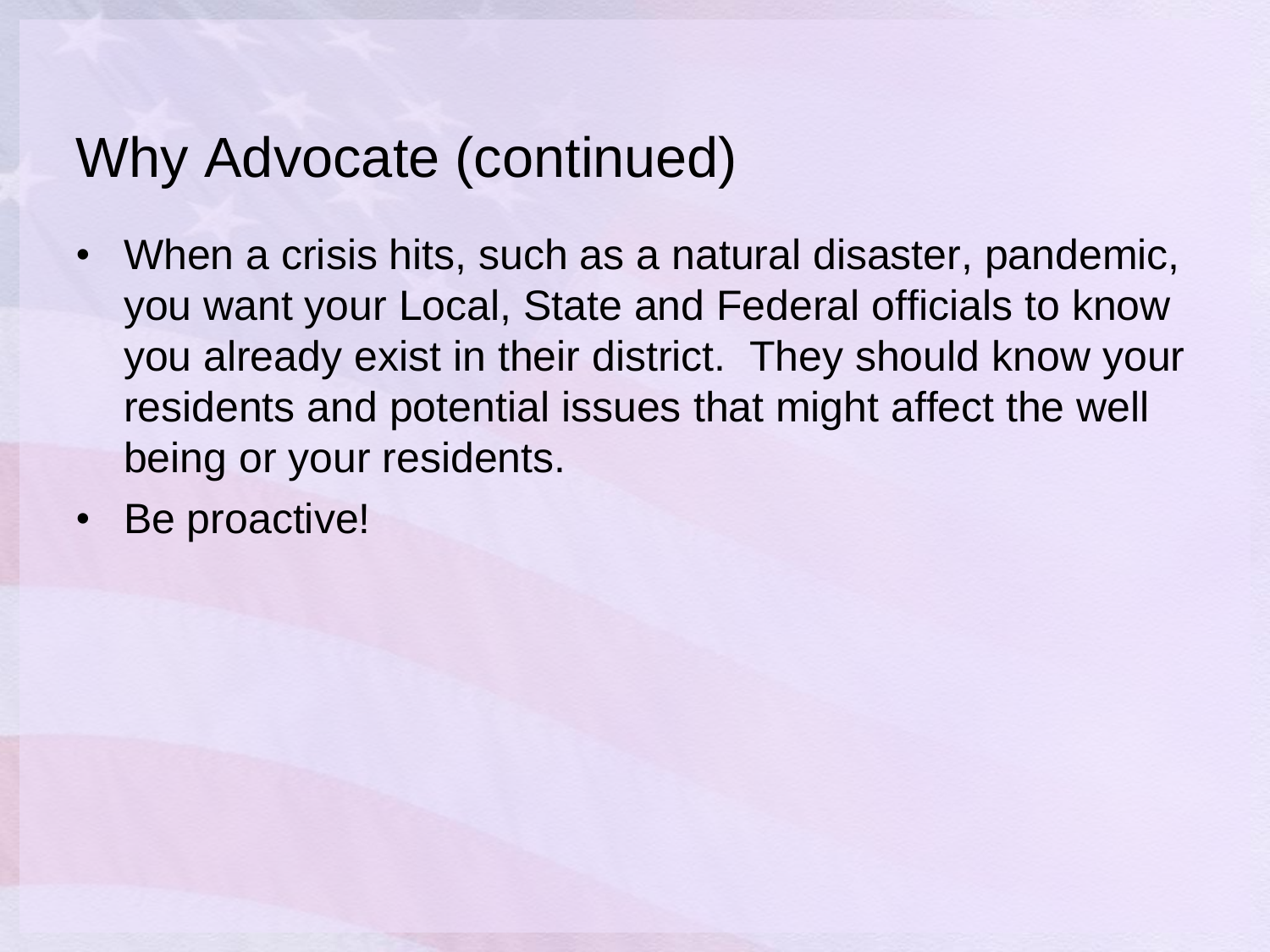#### Why Advocate (continued)

- When a crisis hits, such as a natural disaster, pandemic, you want your Local, State and Federal officials to know you already exist in their district. They should know your residents and potential issues that might affect the well being or your residents.
- Be proactive!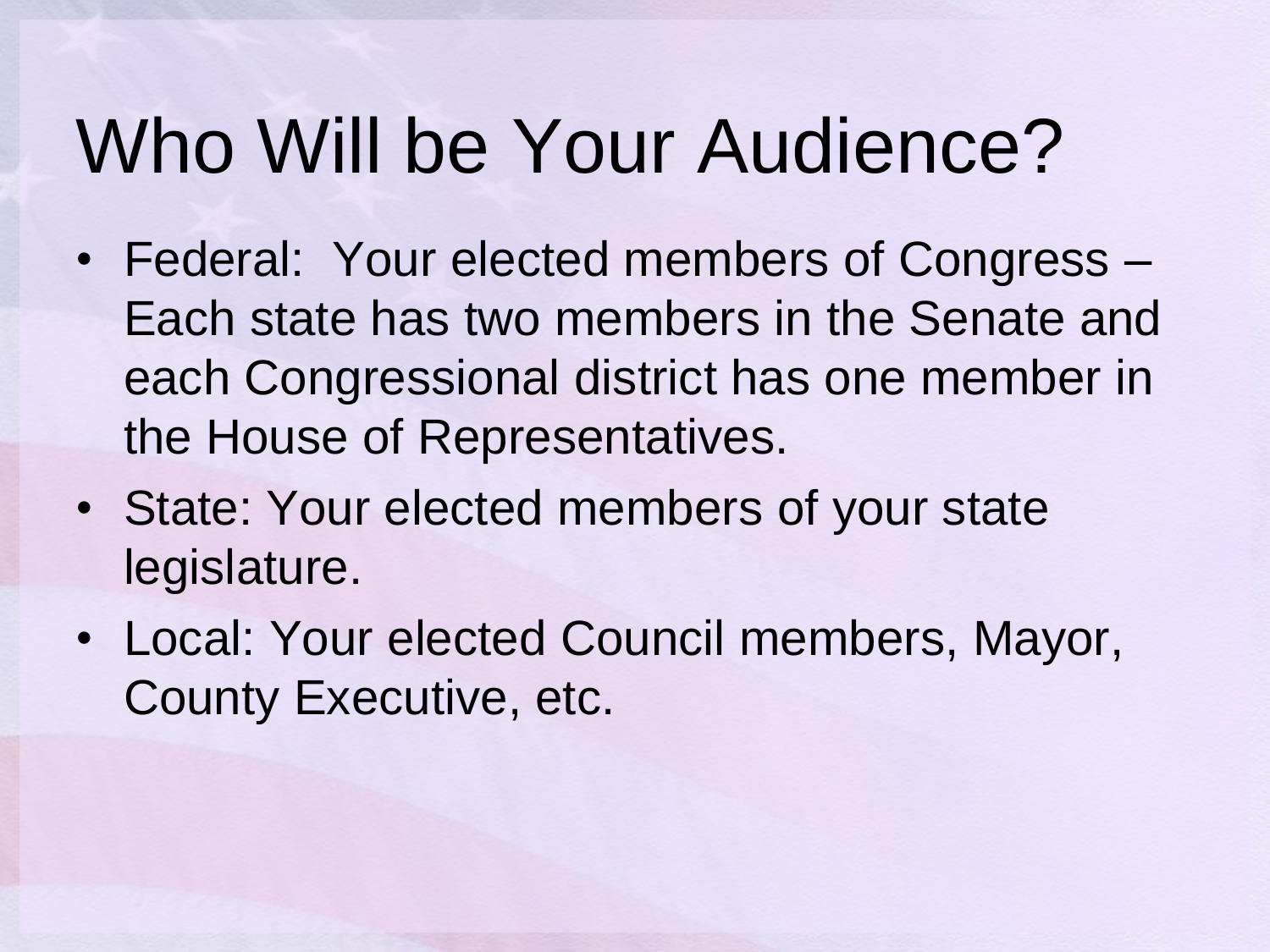## Who Will be Your Audience?

- Federal: Your elected members of Congress Each state has two members in the Senate and each Congressional district has one member in the House of Representatives.
- State: Your elected members of your state legislature.
- Local: Your elected Council members, Mayor, County Executive, etc.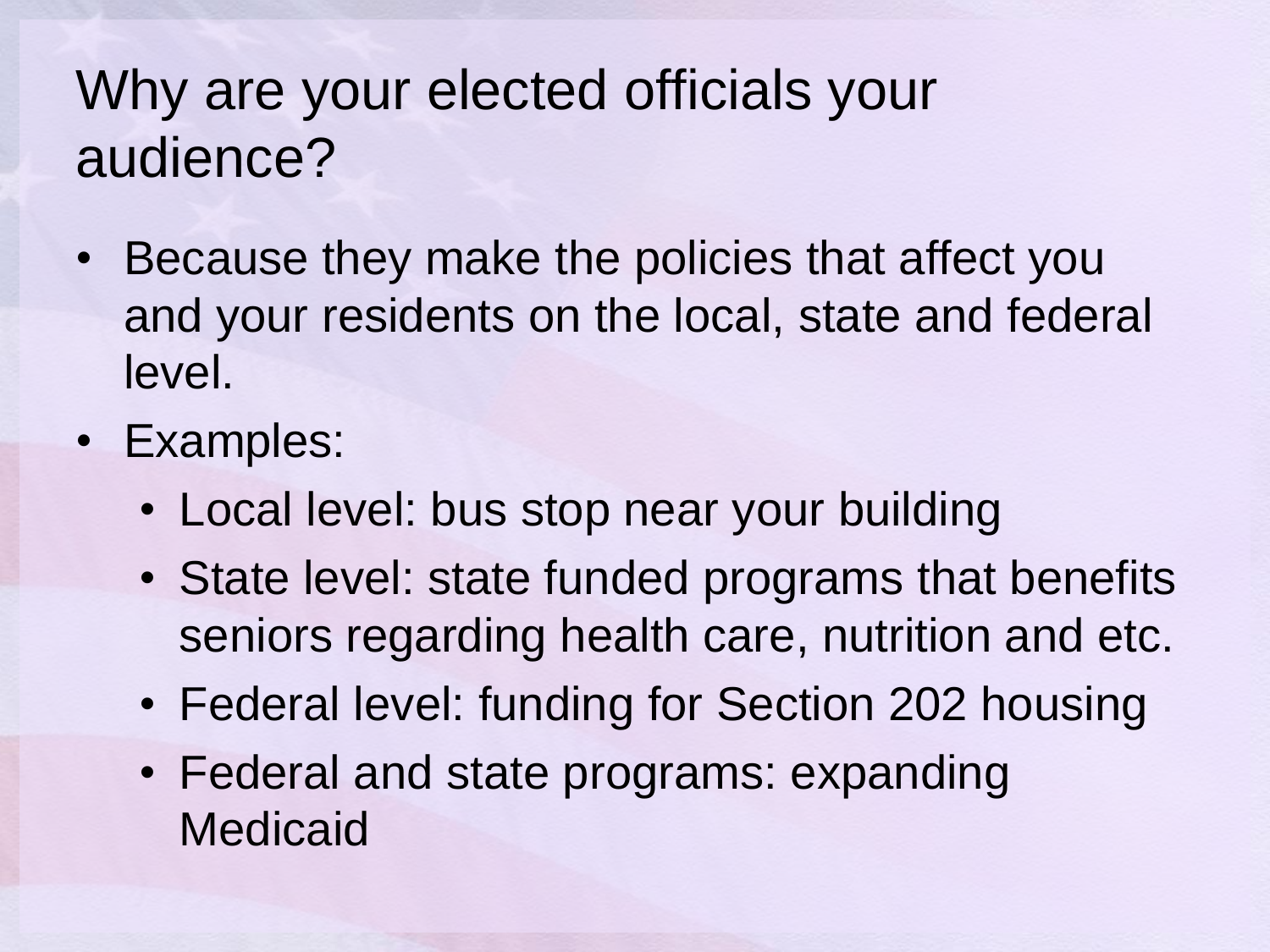#### Why are your elected officials your audience?

- Because they make the policies that affect you and your residents on the local, state and federal level.
- Examples:
	- Local level: bus stop near your building
	- State level: state funded programs that benefits seniors regarding health care, nutrition and etc.
	- Federal level: funding for Section 202 housing
	- Federal and state programs: expanding Medicaid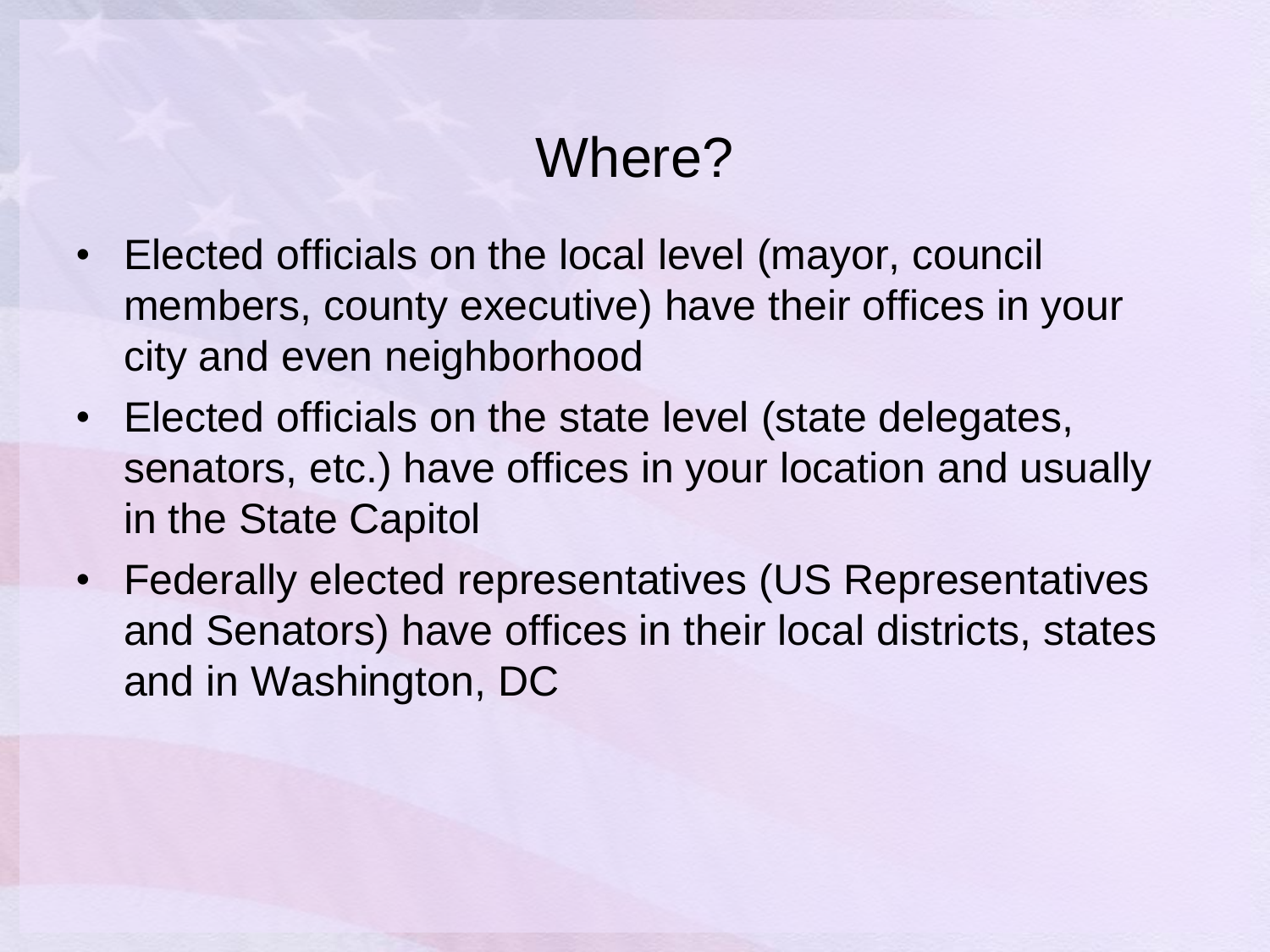#### Where?

- Elected officials on the local level (mayor, council members, county executive) have their offices in your city and even neighborhood
- Elected officials on the state level (state delegates, senators, etc.) have offices in your location and usually in the State Capitol
- Federally elected representatives (US Representatives and Senators) have offices in their local districts, states and in Washington, DC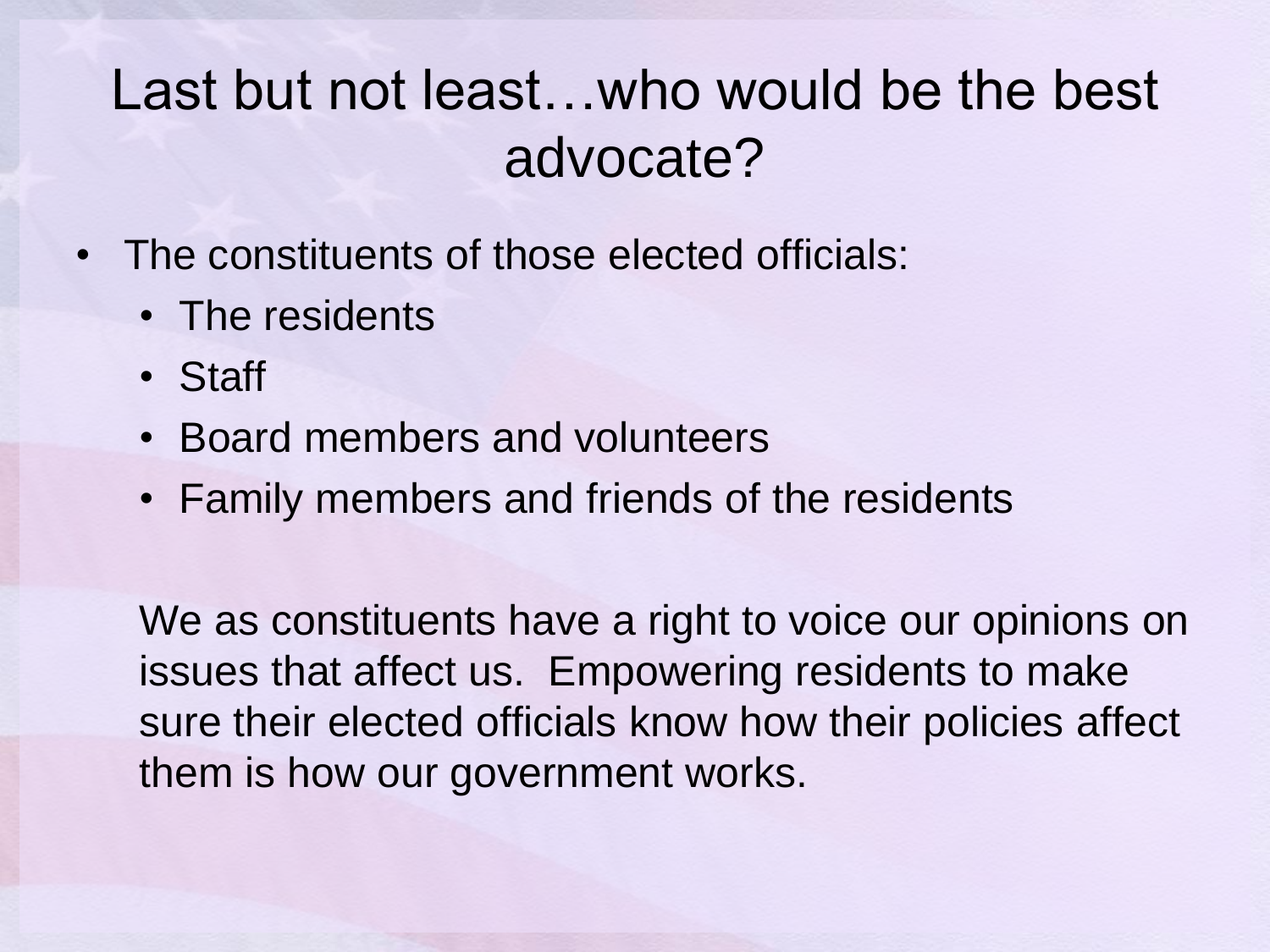#### Last but not least…who would be the best advocate?

- The constituents of those elected officials:
	- The residents
	- Staff
	- Board members and volunteers
	- Family members and friends of the residents

We as constituents have a right to voice our opinions on issues that affect us. Empowering residents to make sure their elected officials know how their policies affect them is how our government works.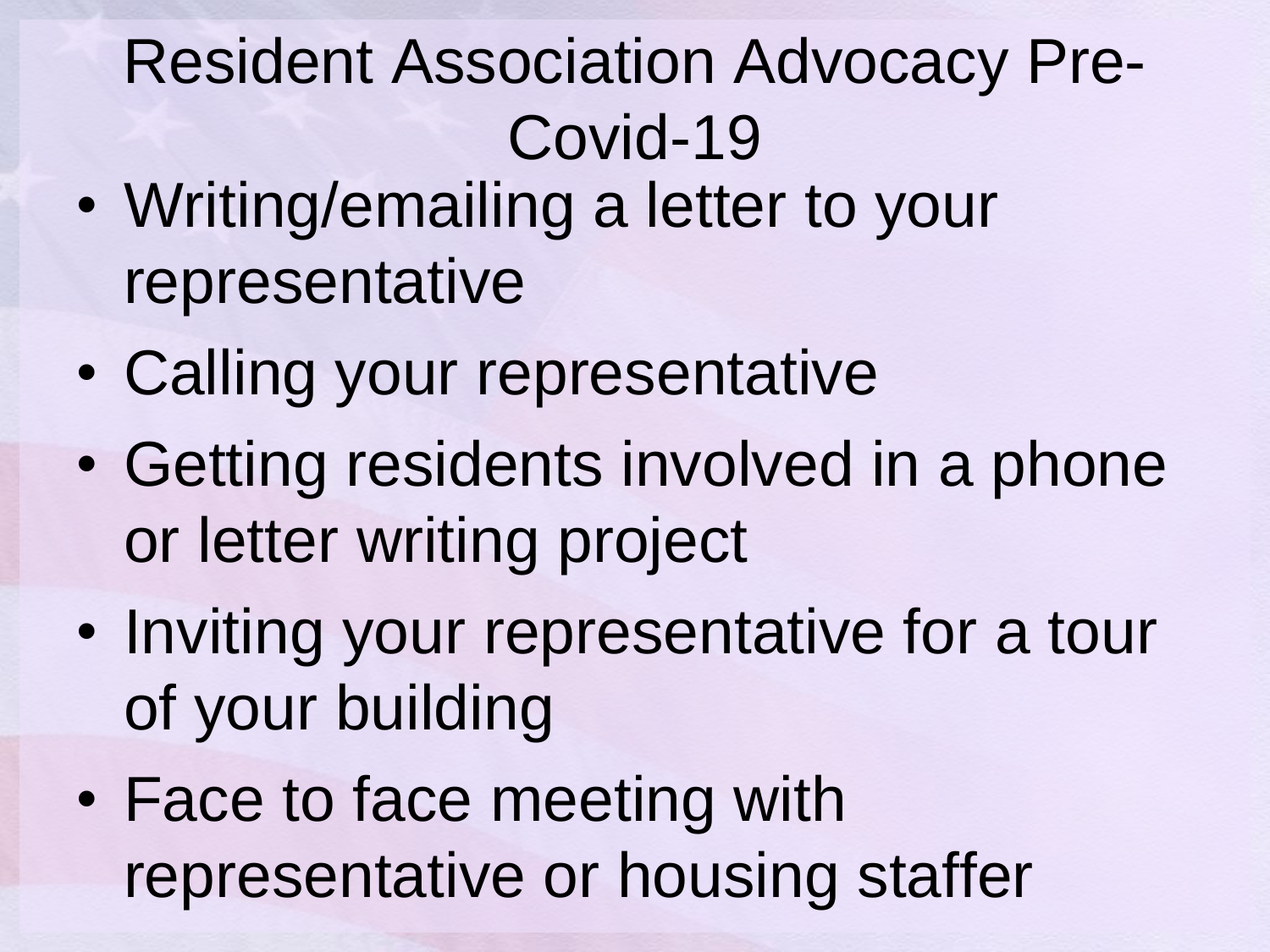### Resident Association Advocacy Pre-Covid-19

- Writing/emailing a letter to your representative
- Calling your representative
- Getting residents involved in a phone or letter writing project
- Inviting your representative for a tour of your building
- Face to face meeting with representative or housing staffer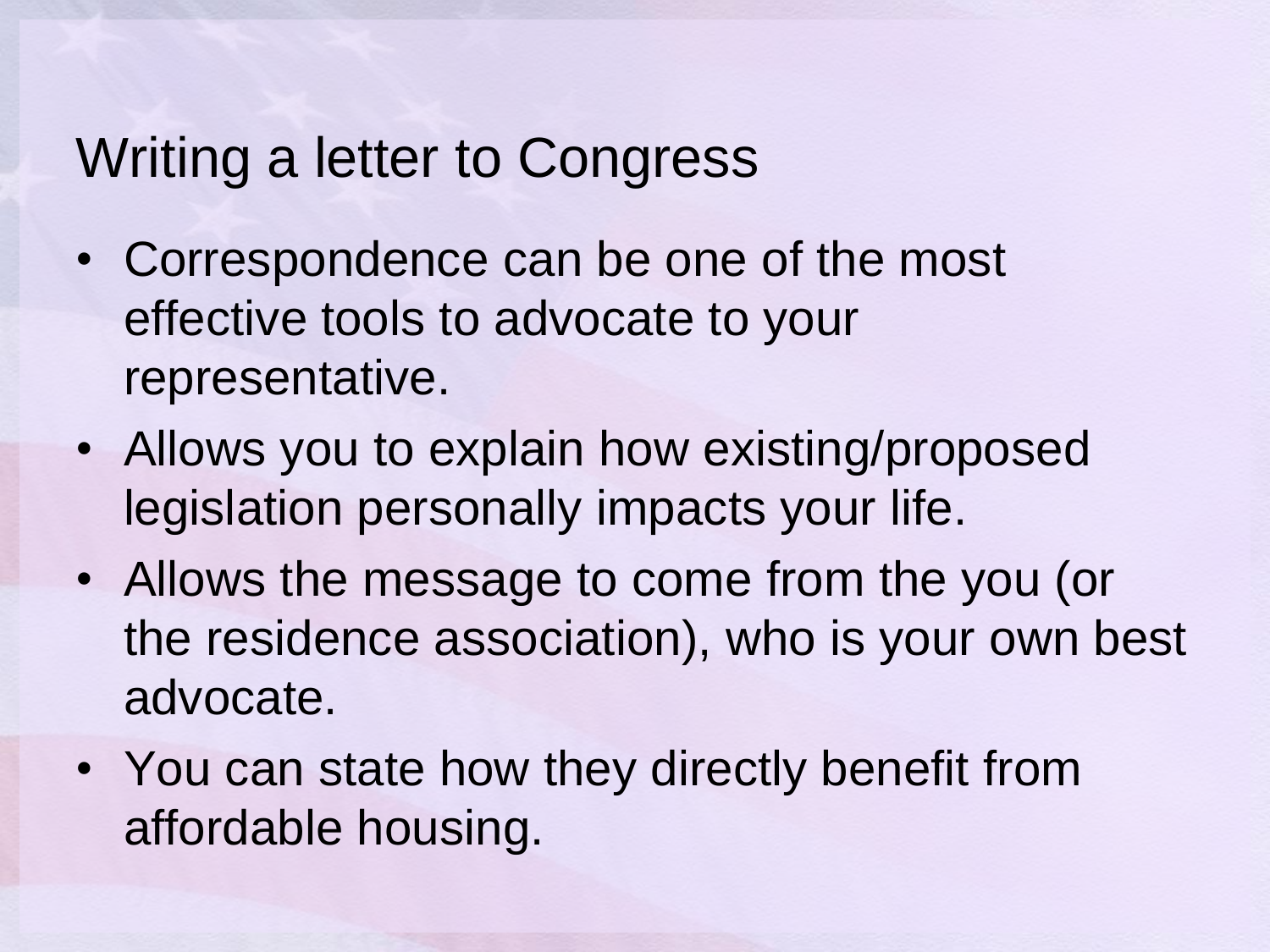#### Writing a letter to Congress

- Correspondence can be one of the most effective tools to advocate to your representative.
- Allows you to explain how existing/proposed legislation personally impacts your life.
- Allows the message to come from the you (or the residence association), who is your own best advocate.
- You can state how they directly benefit from affordable housing.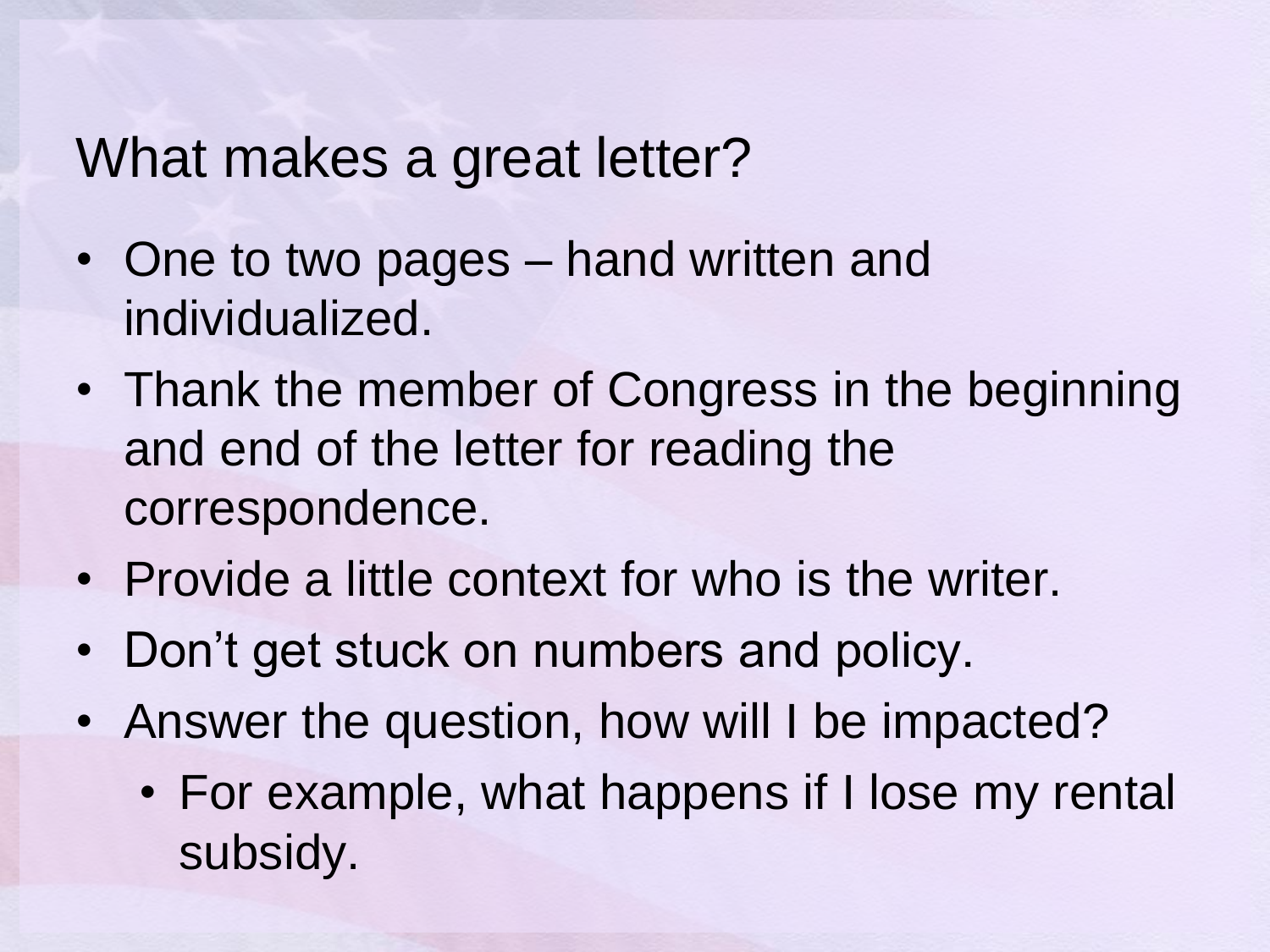#### What makes a great letter?

- One to two pages hand written and individualized.
- Thank the member of Congress in the beginning and end of the letter for reading the correspondence.
- Provide a little context for who is the writer.
- Don't get stuck on numbers and policy.
- Answer the question, how will I be impacted?
	- For example, what happens if I lose my rental subsidy.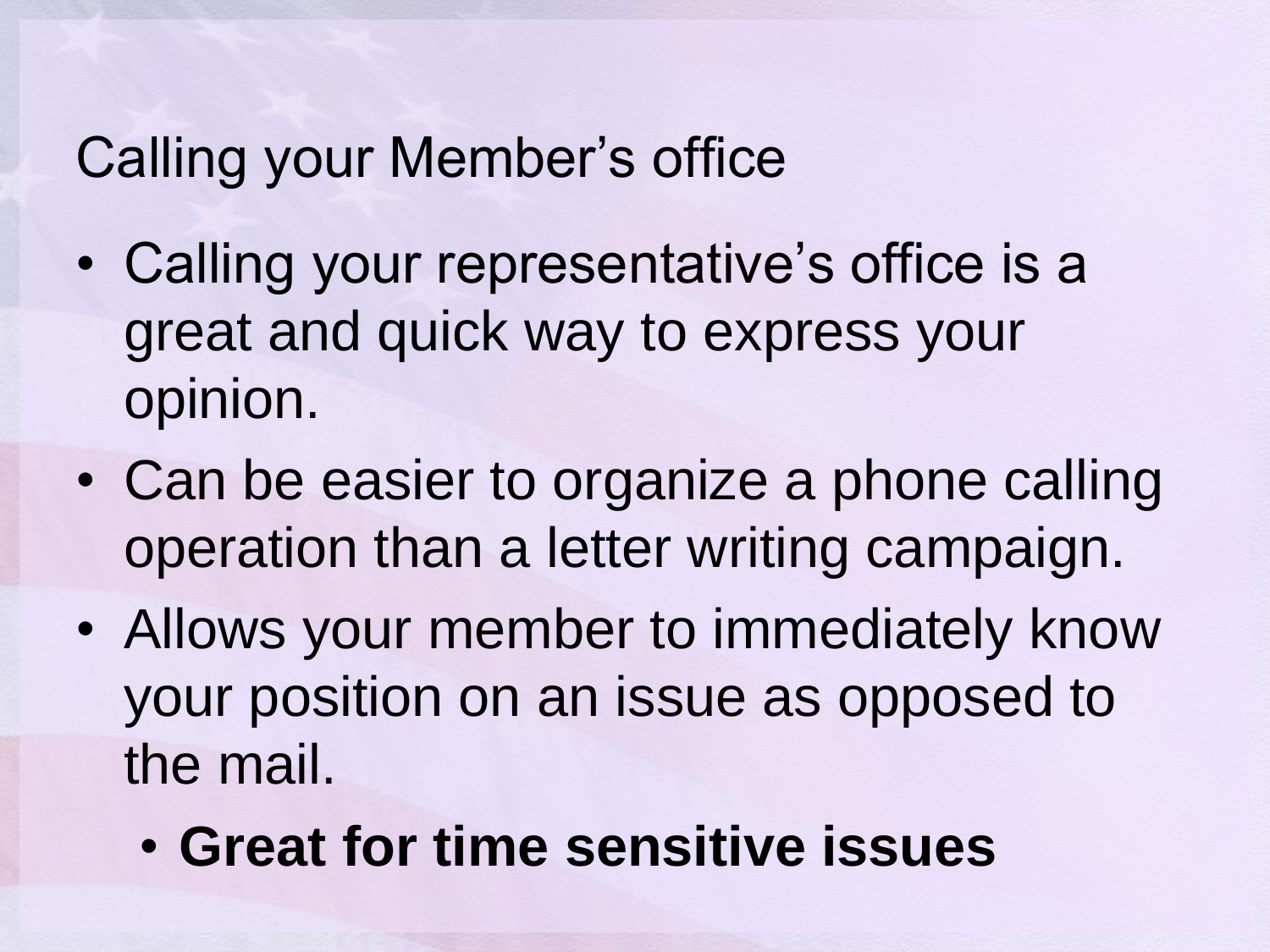#### Calling your Member's office

- Calling your representative's office is a great and quick way to express your opinion.
- Can be easier to organize a phone calling operation than a letter writing campaign.
- Allows your member to immediately know your position on an issue as opposed to the mail.
	- **Great for time sensitive issues**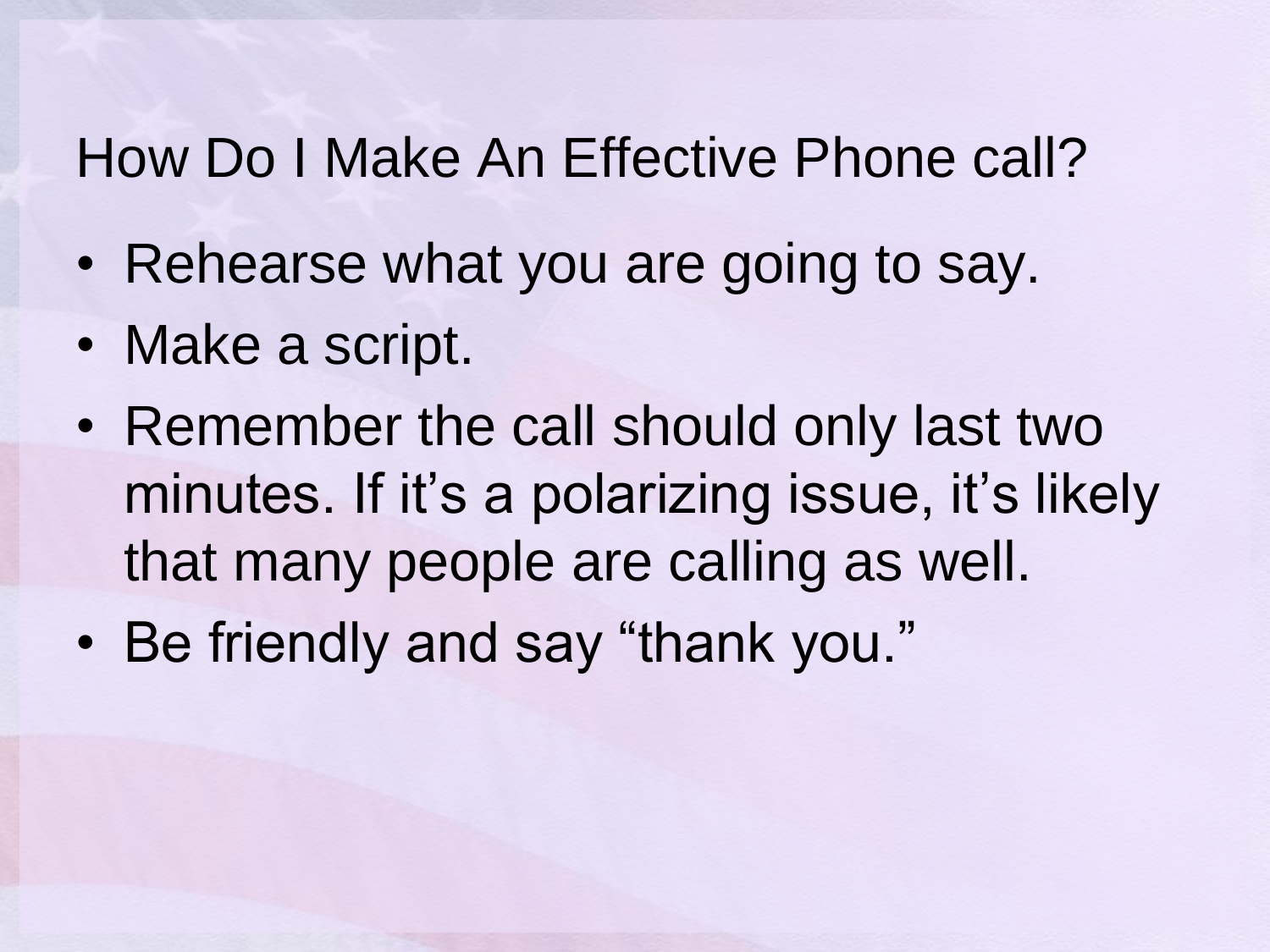#### How Do I Make An Effective Phone call?

- Rehearse what you are going to say.
- Make a script.
- Remember the call should only last two minutes. If it's a polarizing issue, it's likely that many people are calling as well.
- Be friendly and say "thank you."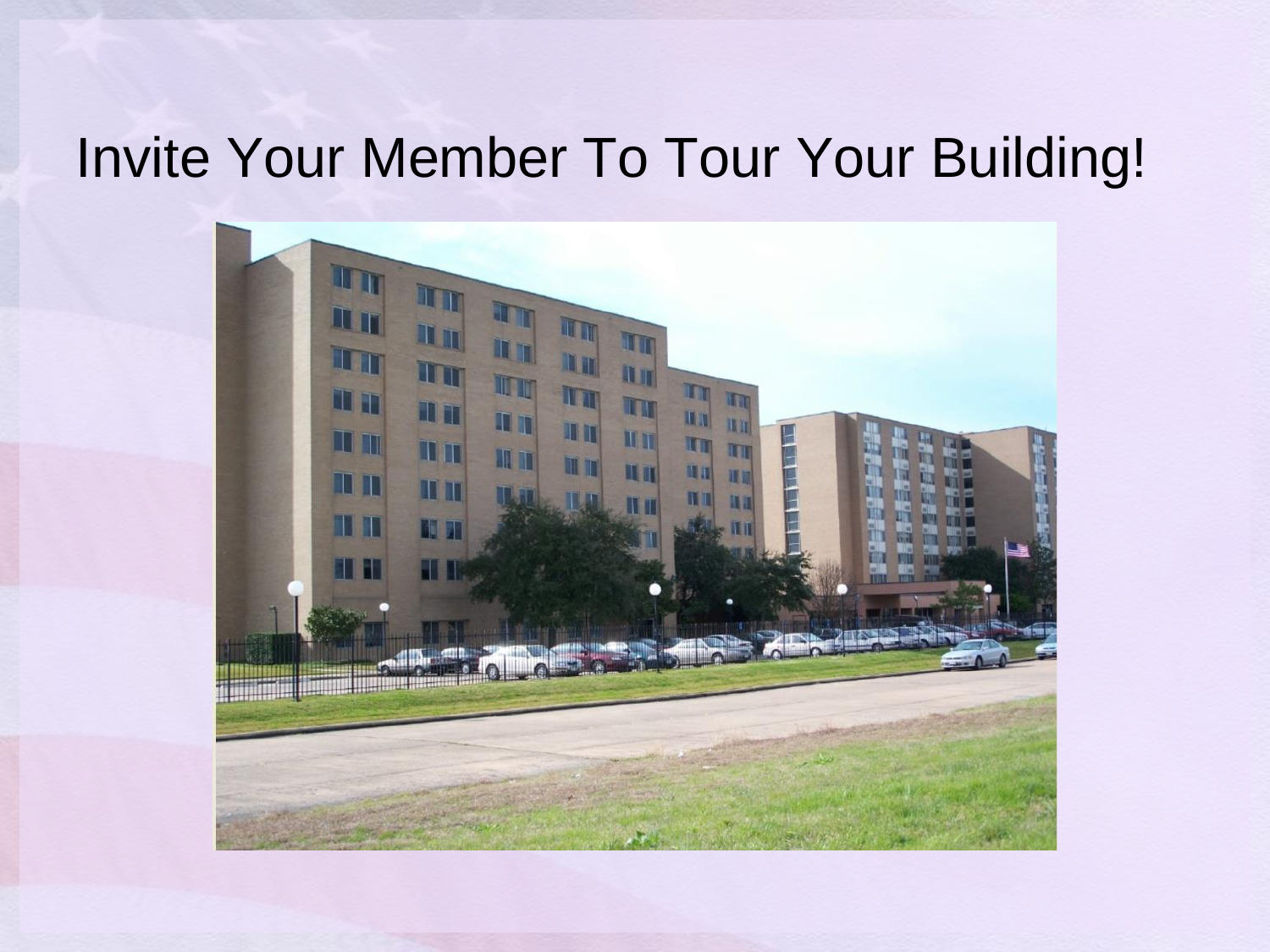#### Invite Your Member To Tour Your Building!

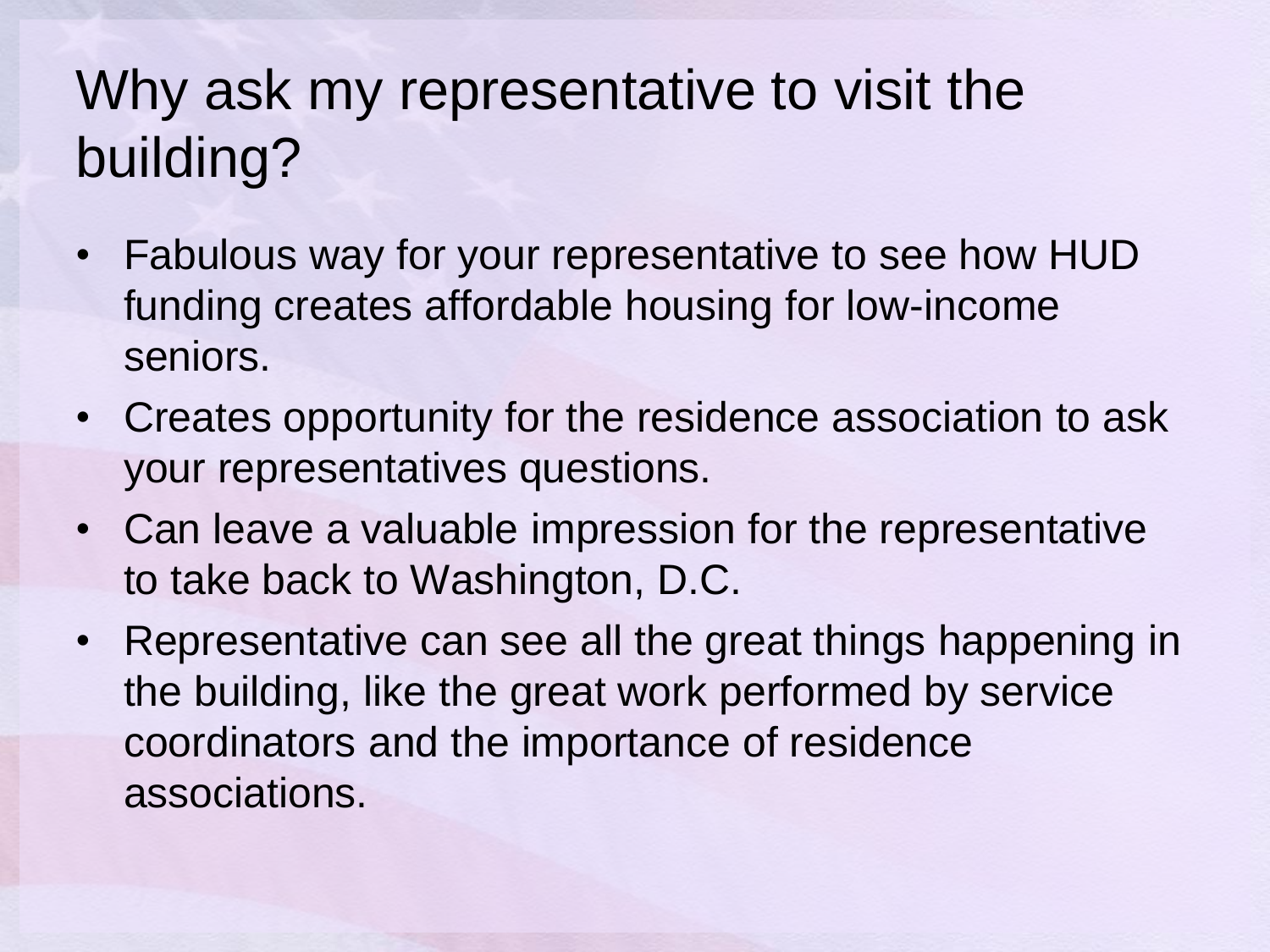#### Why ask my representative to visit the building?

- Fabulous way for your representative to see how HUD funding creates affordable housing for low-income seniors.
- Creates opportunity for the residence association to ask your representatives questions.
- Can leave a valuable impression for the representative to take back to Washington, D.C.
- Representative can see all the great things happening in the building, like the great work performed by service coordinators and the importance of residence associations.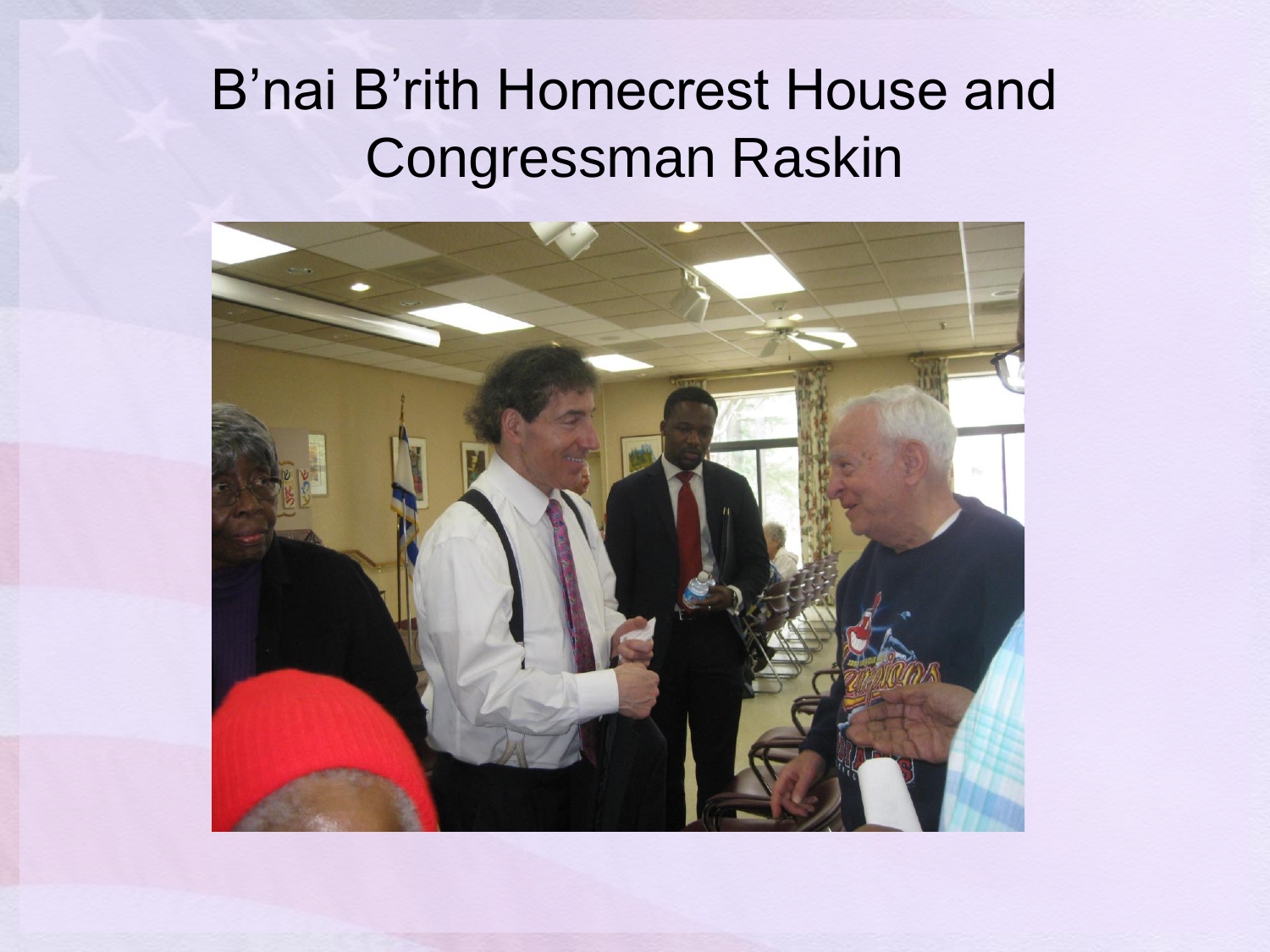#### B'nai B'rith Homecrest House and Congressman Raskin

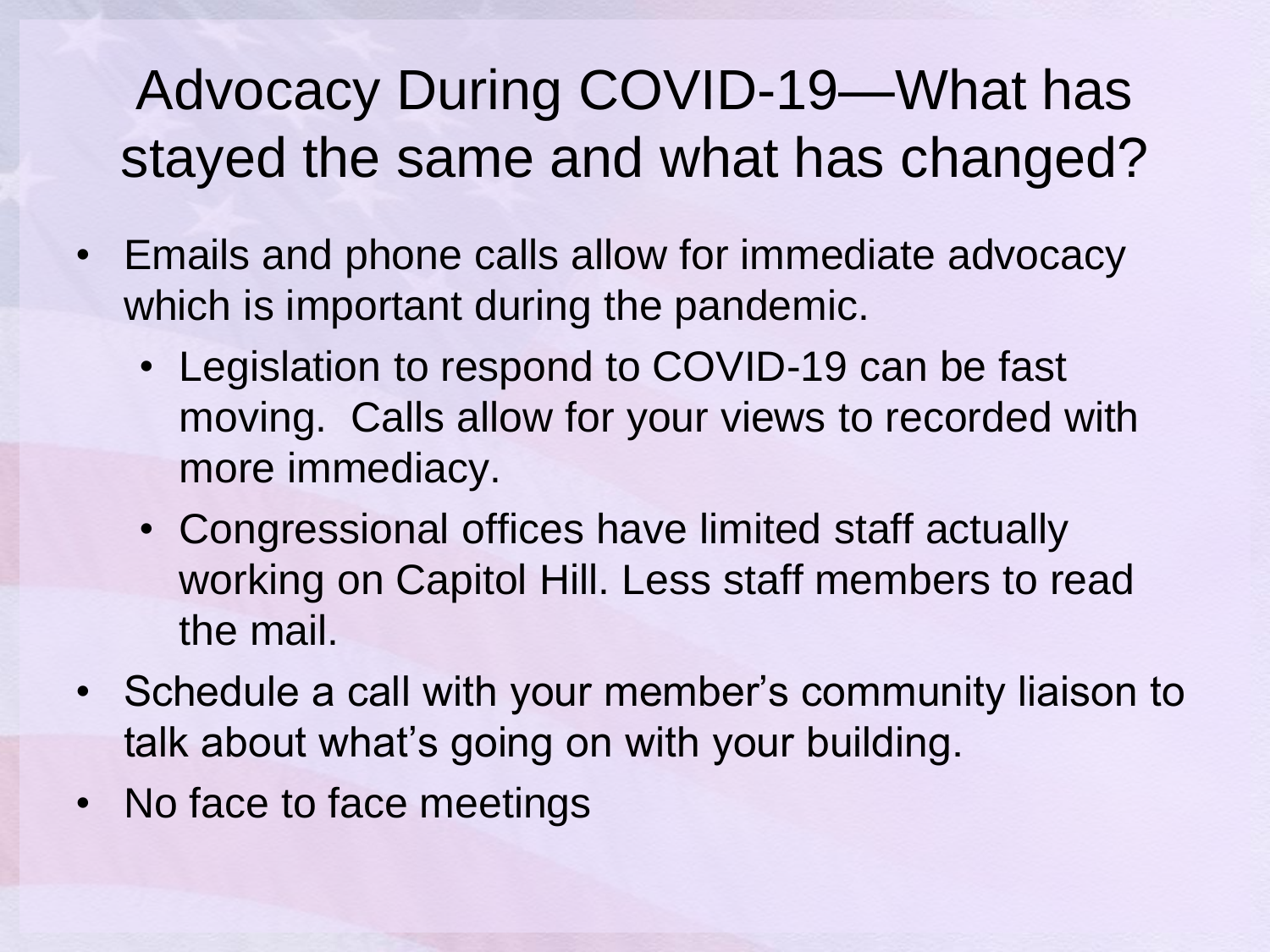#### Advocacy During COVID-19—What has stayed the same and what has changed?

- Emails and phone calls allow for immediate advocacy which is important during the pandemic.
	- Legislation to respond to COVID-19 can be fast moving. Calls allow for your views to recorded with more immediacy.
	- Congressional offices have limited staff actually working on Capitol Hill. Less staff members to read the mail.
- Schedule a call with your member's community liaison to talk about what's going on with your building.
- No face to face meetings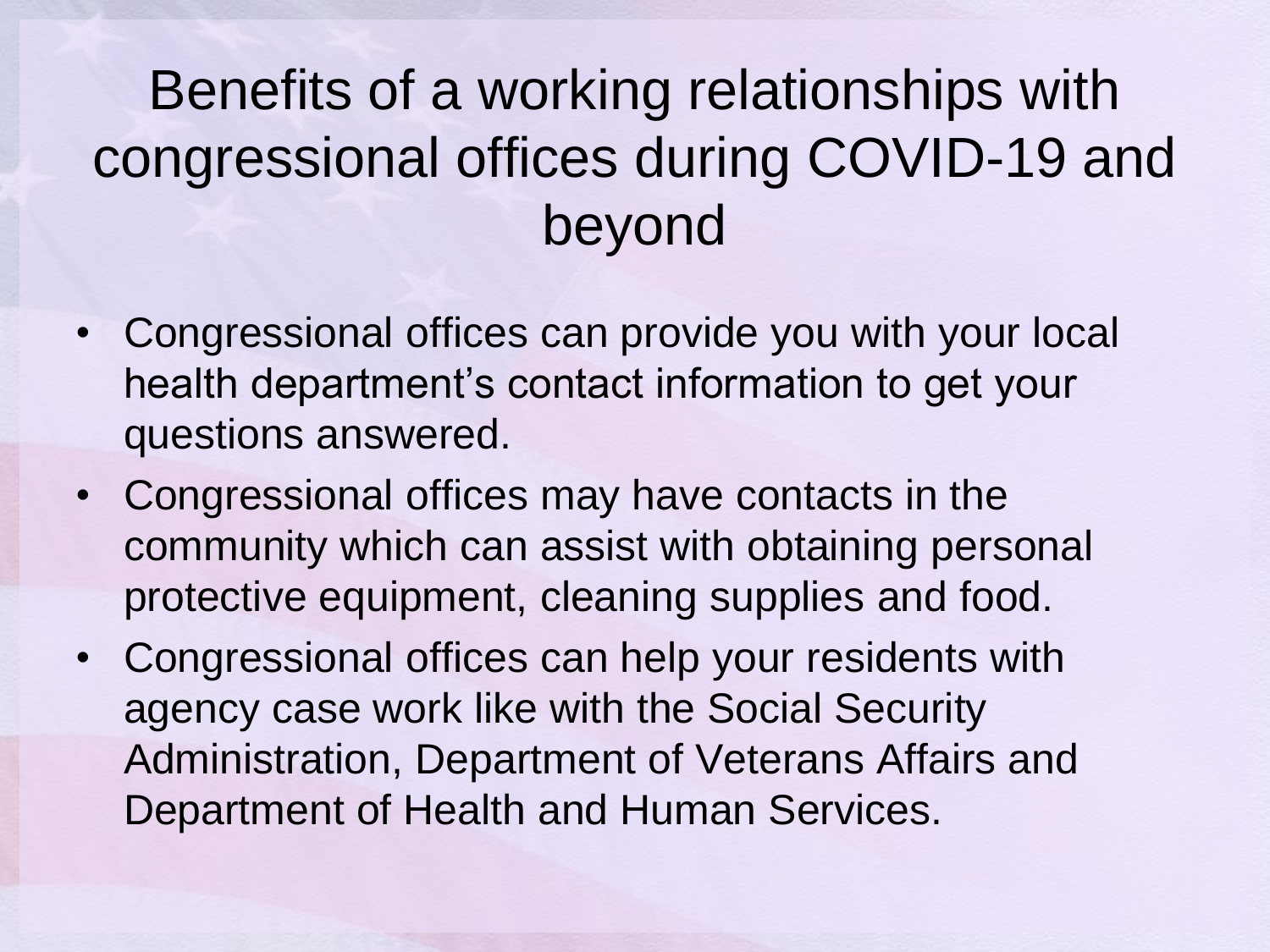#### Benefits of a working relationships with congressional offices during COVID-19 and beyond

- Congressional offices can provide you with your local health department's contact information to get your questions answered.
- Congressional offices may have contacts in the community which can assist with obtaining personal protective equipment, cleaning supplies and food.
- Congressional offices can help your residents with agency case work like with the Social Security Administration, Department of Veterans Affairs and Department of Health and Human Services.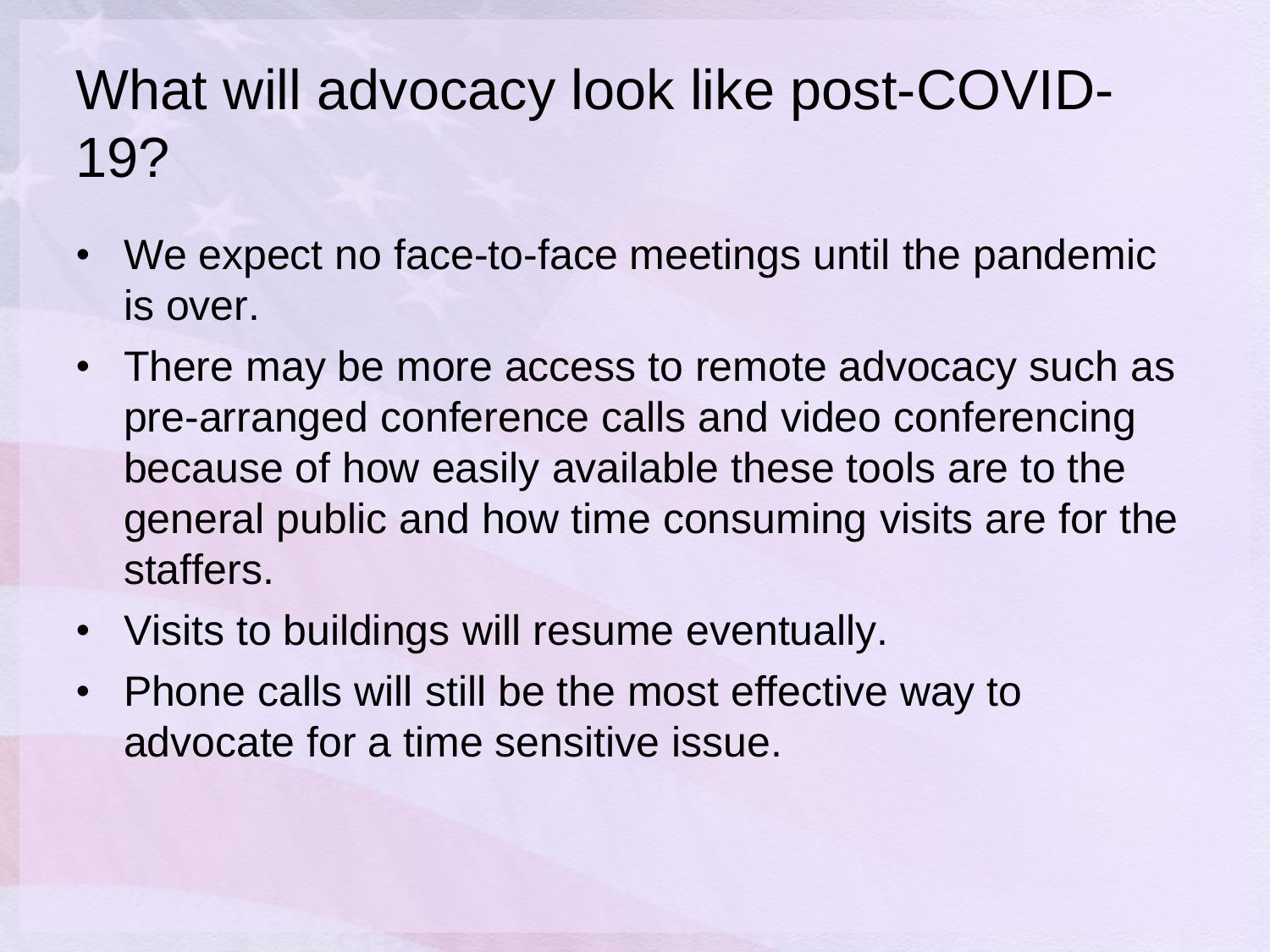#### What will advocacy look like post-COVID-19?

- We expect no face-to-face meetings until the pandemic is over.
- There may be more access to remote advocacy such as pre-arranged conference calls and video conferencing because of how easily available these tools are to the general public and how time consuming visits are for the staffers.
- Visits to buildings will resume eventually.
- Phone calls will still be the most effective way to advocate for a time sensitive issue.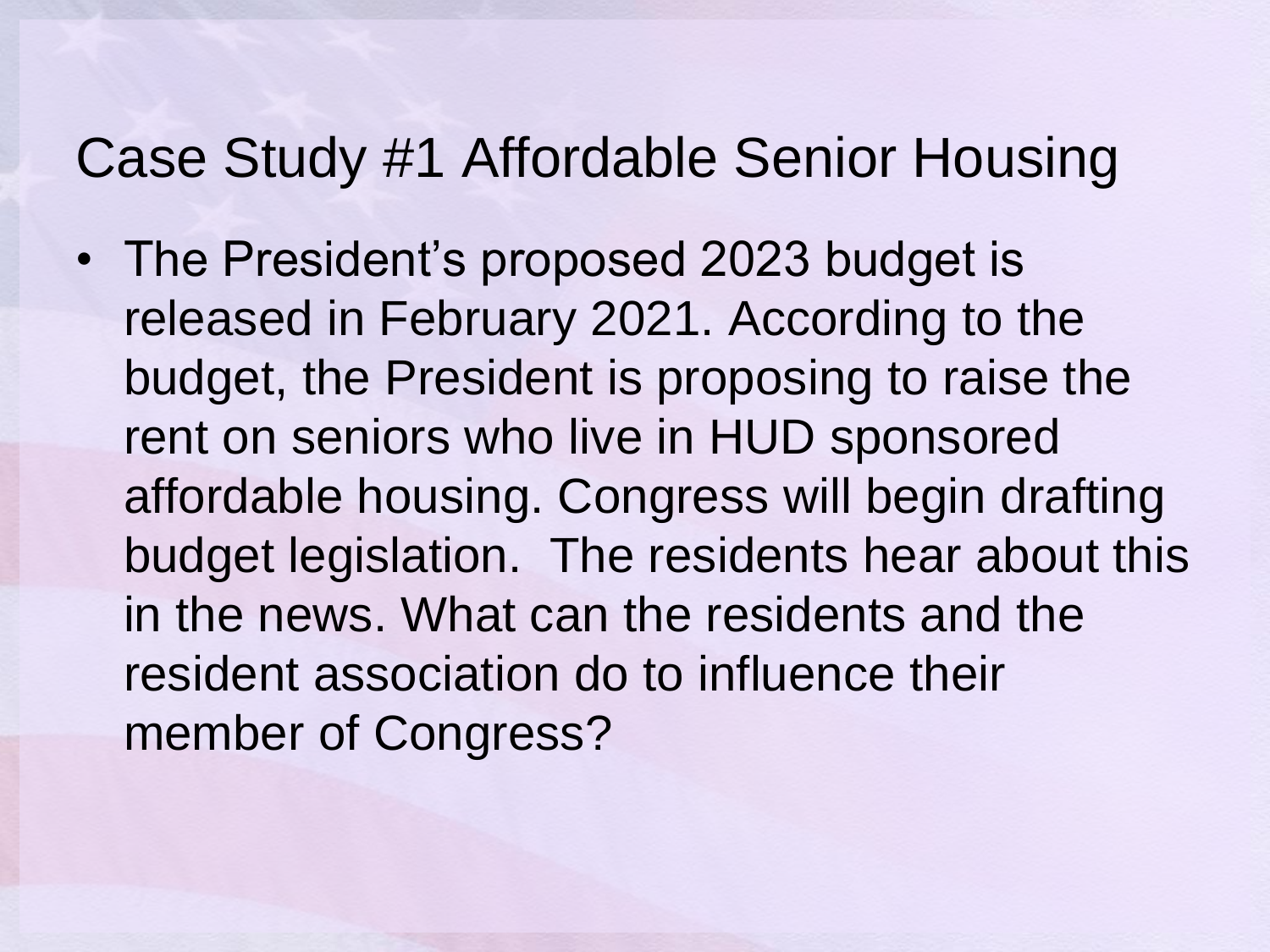#### Case Study #1 Affordable Senior Housing

• The President's proposed 2023 budget is released in February 2021. According to the budget, the President is proposing to raise the rent on seniors who live in HUD sponsored affordable housing. Congress will begin drafting budget legislation. The residents hear about this in the news. What can the residents and the resident association do to influence their member of Congress?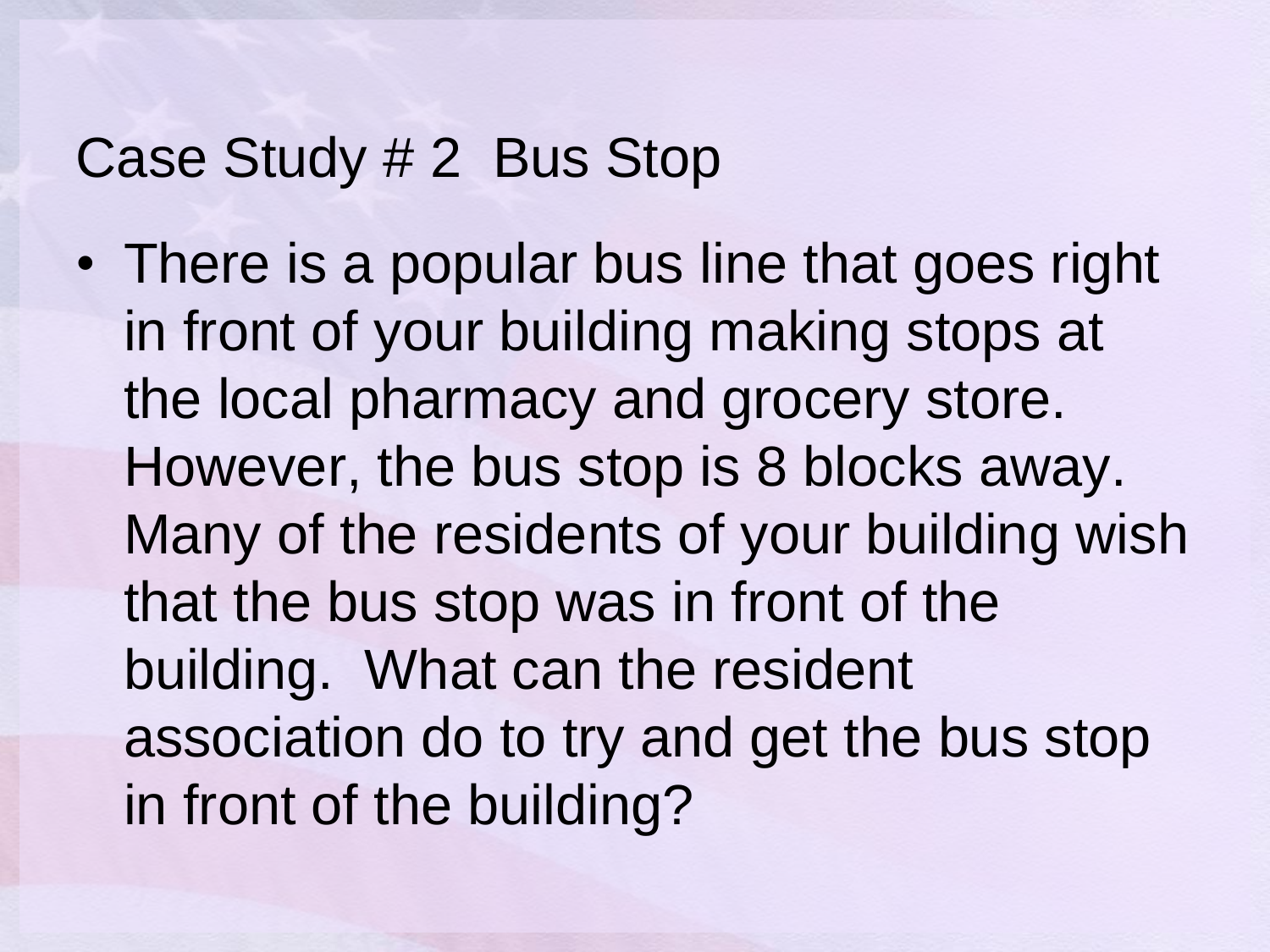#### Case Study # 2 Bus Stop

• There is a popular bus line that goes right in front of your building making stops at the local pharmacy and grocery store. However, the bus stop is 8 blocks away. Many of the residents of your building wish that the bus stop was in front of the building. What can the resident association do to try and get the bus stop in front of the building?